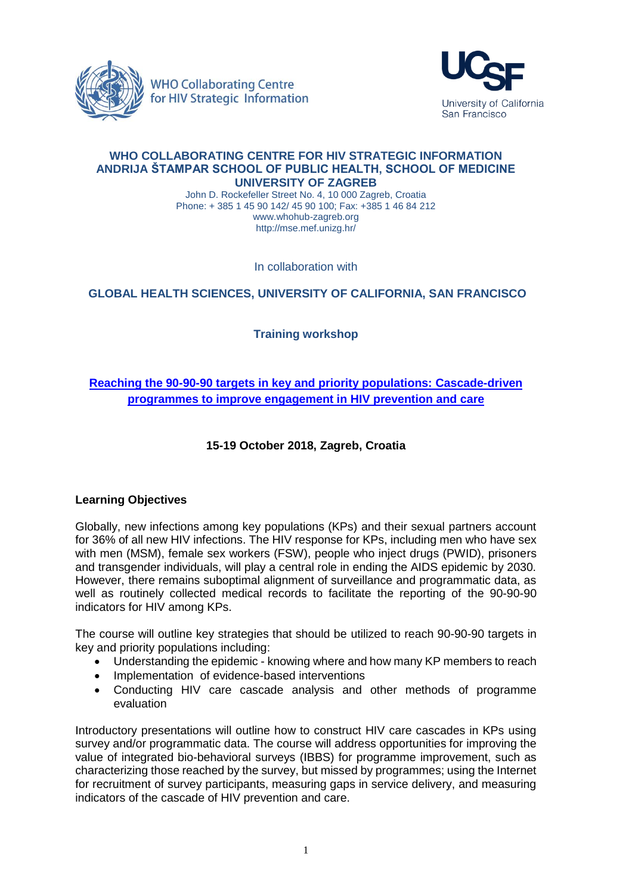



#### **WHO COLLABORATING CENTRE FOR HIV STRATEGIC INFORMATION ANDRIJA ŠTAMPAR SCHOOL OF PUBLIC HEALTH, SCHOOL OF MEDICINE UNIVERSITY OF ZAGREB**

John D. Rockefeller Street No. 4, 10 000 Zagreb, Croatia Phone: + 385 1 45 90 142/ 45 90 100; Fax: +385 1 46 84 212 [www.whohub-zagreb.org](http://www.whohub-zagreb.org/) <http://mse.mef.unizg.hr/>

In collaboration with

## **GLOBAL HEALTH SCIENCES, UNIVERSITY OF CALIFORNIA, SAN FRANCISCO**

# **Training workshop**

# **[Reaching the 90-90-90 targets in key and priority populations: Cascade-driven](http://www.whohub-zagreb.org/913) [programmes to improve engagement in HIV prevention and care](http://www.whohub-zagreb.org/913)**

## **15-19 October 2018, Zagreb, Croatia**

### **Learning Objectives**

Globally, new infections among key populations (KPs) and their sexual partners account for 36% of all new HIV infections. The HIV response for KPs, including men who have sex with men (MSM), female sex workers (FSW), people who inject drugs (PWID), prisoners and transgender individuals, will play a central role in ending the AIDS epidemic by 2030. However, there remains suboptimal alignment of surveillance and programmatic data, as well as routinely collected medical records to facilitate the reporting of the 90-90-90 indicators for HIV among KPs.

The course will outline key strategies that should be utilized to reach 90-90-90 targets in key and priority populations including:

- Understanding the epidemic knowing where and how many KP members to reach
- Implementation of evidence-based interventions
- Conducting HIV care cascade analysis and other methods of programme evaluation

Introductory presentations will outline how to construct HIV care cascades in KPs using survey and/or programmatic data. The course will address opportunities for improving the value of integrated bio-behavioral surveys (IBBS) for programme improvement, such as characterizing those reached by the survey, but missed by programmes; using the Internet for recruitment of survey participants, measuring gaps in service delivery, and measuring indicators of the cascade of HIV prevention and care.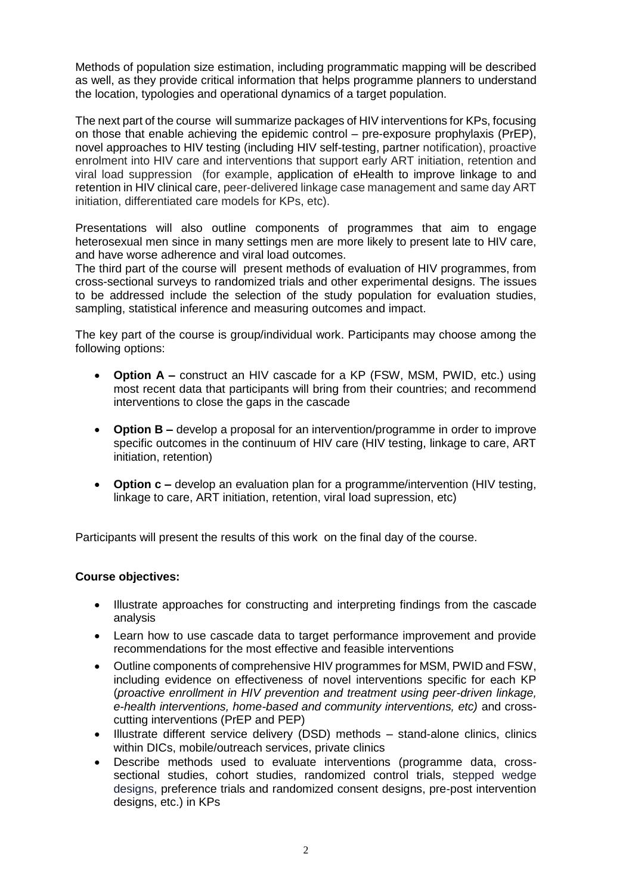Methods of population size estimation, including programmatic mapping will be described as well, as they provide critical information that helps programme planners to understand the location, typologies and operational dynamics of a target population.

The next part of the course will summarize packages of HIV interventions for KPs, focusing on those that enable achieving the epidemic control – pre-exposure prophylaxis (PrEP), novel approaches to HIV testing (including HIV self-testing, partner notification), proactive enrolment into HIV care and interventions that support early ART initiation, retention and viral load suppression (for example, application of eHealth to improve linkage to and retention in HIV clinical care, peer-delivered linkage case management and same day ART initiation, differentiated care models for KPs, etc).

Presentations will also outline components of programmes that aim to engage heterosexual men since in many settings men are more likely to present late to HIV care, and have worse adherence and viral load outcomes.

The third part of the course will present methods of evaluation of HIV programmes, from cross-sectional surveys to randomized trials and other experimental designs. The issues to be addressed include the selection of the study population for evaluation studies, sampling, statistical inference and measuring outcomes and impact.

The key part of the course is group/individual work. Participants may choose among the following options:

- **Option A –** construct an HIV cascade for a KP (FSW, MSM, PWID, etc.) using most recent data that participants will bring from their countries; and recommend interventions to close the gaps in the cascade
- **Option B –** develop a proposal for an intervention/programme in order to improve specific outcomes in the continuum of HIV care (HIV testing, linkage to care, ART initiation, retention)
- **Option c –** develop an evaluation plan for a programme/intervention (HIV testing, linkage to care, ART initiation, retention, viral load supression, etc)

Participants will present the results of this work on the final day of the course.

### **Course objectives:**

- Illustrate approaches for constructing and interpreting findings from the cascade analysis
- Learn how to use cascade data to target performance improvement and provide recommendations for the most effective and feasible interventions
- Outline components of comprehensive HIV programmes for MSM, PWID and FSW, including evidence on effectiveness of novel interventions specific for each KP (*proactive enrollment in HIV prevention and treatment using peer-driven linkage, e-health interventions, home-based and community interventions, etc)* and crosscutting interventions (PrEP and PEP)
- Illustrate different service delivery (DSD) methods stand-alone clinics, clinics within DICs, mobile/outreach services, private clinics
- Describe methods used to evaluate interventions (programme data, crosssectional studies, cohort studies, randomized control trials, stepped wedge designs, preference trials and randomized consent designs, pre-post intervention designs, etc.) in KPs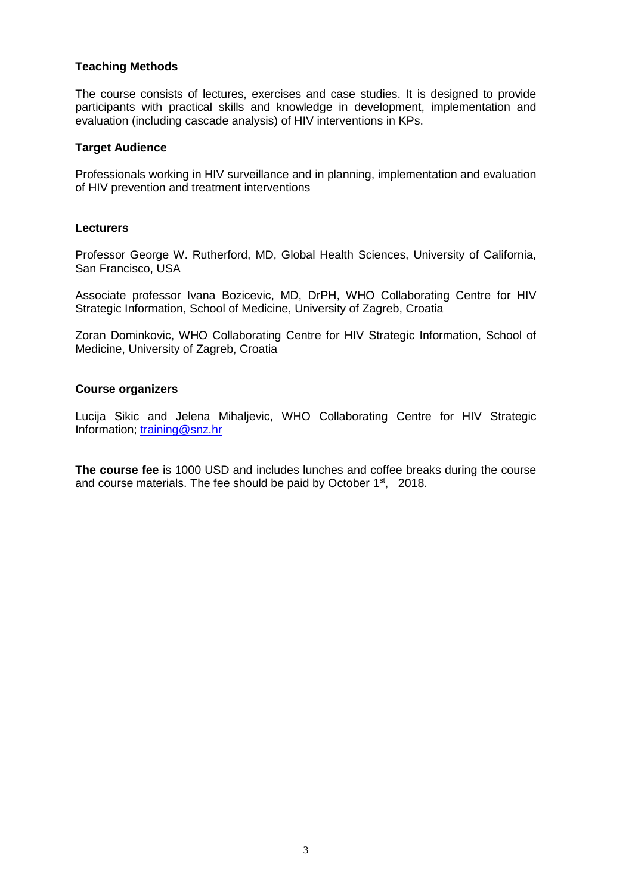### **Teaching Methods**

The course consists of lectures, exercises and case studies. It is designed to provide participants with practical skills and knowledge in development, implementation and evaluation (including cascade analysis) of HIV interventions in KPs.

#### **Target Audience**

Professionals working in HIV surveillance and in planning, implementation and evaluation of HIV prevention and treatment interventions

#### **Lecturers**

Professor George W. Rutherford, MD, Global Health Sciences, University of California, San Francisco, USA

Associate professor Ivana Bozicevic, MD, DrPH, WHO Collaborating Centre for HIV Strategic Information, School of Medicine, University of Zagreb, Croatia

Zoran Dominkovic, WHO Collaborating Centre for HIV Strategic Information, School of Medicine, University of Zagreb, Croatia

### **Course organizers**

Lucija Sikic and Jelena Mihaljevic, WHO Collaborating Centre for HIV Strategic Information; [training@snz.hr](mailto:training@snz.hr)

**The course fee** is 1000 USD and includes lunches and coffee breaks during the course and course materials. The fee should be paid by October 1<sup>st</sup>, 2018.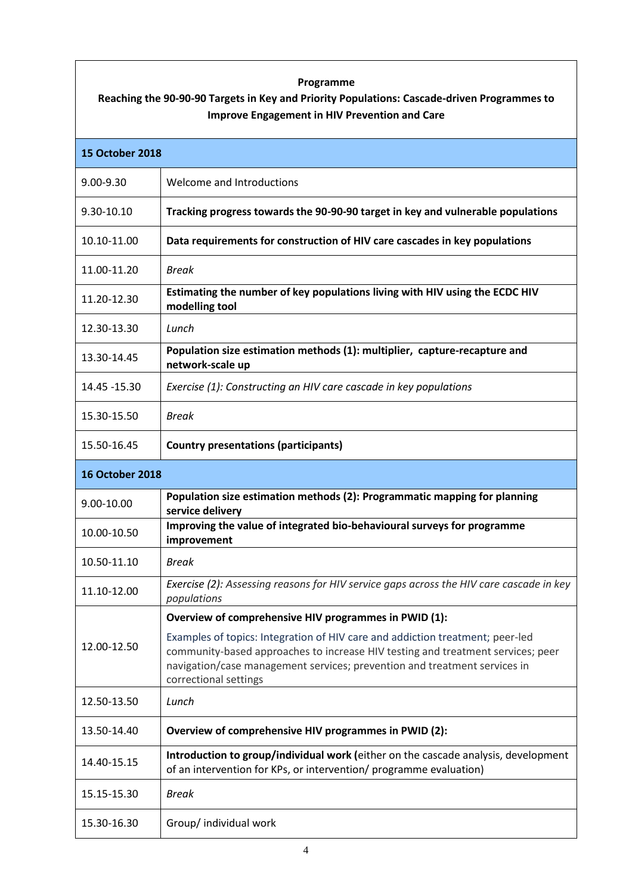## **Programme**

# **Reaching the 90-90-90 Targets in Key and Priority Populations: Cascade-driven Programmes to Improve Engagement in HIV Prevention and Care**

| <b>15 October 2018</b> |                                                                                                                                                                                                                                                                        |
|------------------------|------------------------------------------------------------------------------------------------------------------------------------------------------------------------------------------------------------------------------------------------------------------------|
| 9.00-9.30              | Welcome and Introductions                                                                                                                                                                                                                                              |
| 9.30-10.10             | Tracking progress towards the 90-90-90 target in key and vulnerable populations                                                                                                                                                                                        |
| 10.10-11.00            | Data requirements for construction of HIV care cascades in key populations                                                                                                                                                                                             |
| 11.00-11.20            | Break                                                                                                                                                                                                                                                                  |
| 11.20-12.30            | Estimating the number of key populations living with HIV using the ECDC HIV<br>modelling tool                                                                                                                                                                          |
| 12.30-13.30            | Lunch                                                                                                                                                                                                                                                                  |
| 13.30-14.45            | Population size estimation methods (1): multiplier, capture-recapture and<br>network-scale up                                                                                                                                                                          |
| 14.45 - 15.30          | Exercise (1): Constructing an HIV care cascade in key populations                                                                                                                                                                                                      |
| 15.30-15.50            | <b>Break</b>                                                                                                                                                                                                                                                           |
| 15.50-16.45            | <b>Country presentations (participants)</b>                                                                                                                                                                                                                            |
| <b>16 October 2018</b> |                                                                                                                                                                                                                                                                        |
| 9.00-10.00             | Population size estimation methods (2): Programmatic mapping for planning<br>service delivery                                                                                                                                                                          |
| 10.00-10.50            | Improving the value of integrated bio-behavioural surveys for programme<br>improvement                                                                                                                                                                                 |
| 10.50-11.10            | <b>Break</b>                                                                                                                                                                                                                                                           |
| 11.10-12.00            | Exercise (2): Assessing reasons for HIV service gaps across the HIV care cascade in key<br>populations                                                                                                                                                                 |
|                        | Overview of comprehensive HIV programmes in PWID (1):                                                                                                                                                                                                                  |
| 12.00-12.50            | Examples of topics: Integration of HIV care and addiction treatment; peer-led<br>community-based approaches to increase HIV testing and treatment services; peer<br>navigation/case management services; prevention and treatment services in<br>correctional settings |
| 12.50-13.50            | Lunch                                                                                                                                                                                                                                                                  |
| 13.50-14.40            | Overview of comprehensive HIV programmes in PWID (2):                                                                                                                                                                                                                  |
| 14.40-15.15            | Introduction to group/individual work (either on the cascade analysis, development<br>of an intervention for KPs, or intervention/ programme evaluation)                                                                                                               |
| 15.15-15.30            | <b>Break</b>                                                                                                                                                                                                                                                           |
| 15.30-16.30            | Group/ individual work                                                                                                                                                                                                                                                 |